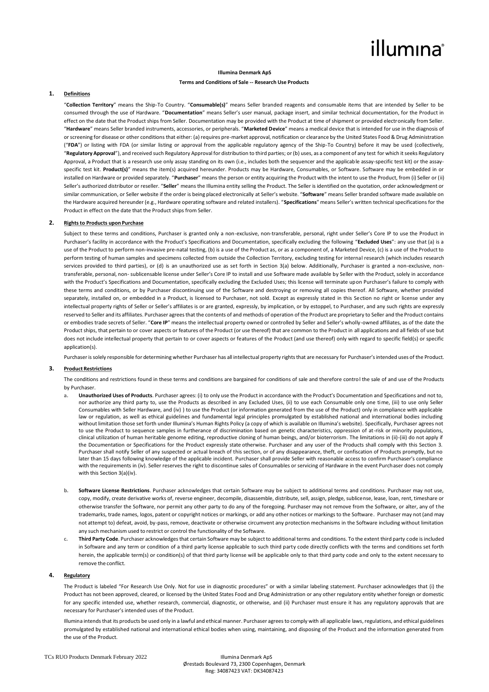## illumına

#### **Illumina Denmark ApS**

#### **Terms and Conditions of Sale -- Research Use Products**

#### **1. Definitions**

"**Collection Territory**" means the Ship-To Country. "**Consumable(s)**" means Seller branded reagents and consumable items that are intended by Seller to be consumed through the use of Hardware. "**Documentation**" means Seller's user manual, package insert, and similar technical documentation, for the Product in effect on the date that the Product ships from Seller. Documentation may be provided with the Product at time of shipment or provided electronically from Seller. "**Hardware**" means Seller branded instruments, accessories, or peripherals. "**Marketed Device**" means a medical device that is intended for use in the diagnosis of or screening for disease or other conditions that either: (a) requires pre-market approval, notification or clearance by the United States Food & Drug Administration ("**FDA**") or listing with FDA (or similar listing or approval from the applicable regulatory agency of the Ship-To Country) before it may be used (collectively, "**Regulatory Approval**"), and received such Regulatory Approval for distribution to third parties; or (b) uses, as a component of any test for which it seeks Regulatory Approval, a Product that is a research use only assay standing on its own (i.e., includes both the sequencer and the applicable assay-specific test kit) or the assayspecific test kit. **Product(s)**" means the item(s) acquired hereunder. Products may be Hardware, Consumables, or Software. Software may be embedded in or installed on Hardware or provided separately. "**Purchaser**" means the person or entity acquiring the Product with the intent to use the Product, from (i) Seller or (ii) Seller's authorized distributor or reseller. "**Seller**" means the Illumina entity selling the Product. The Seller is identified on the quotation, order acknowledgment or similar communication, or Seller website if the order is being placed electronically at Seller's website. "**Software**" means Seller branded software made available on the Hardware acquired hereunder (e.g., Hardware operating software and related installers). "**Specifications**" means Seller's written technical specifications for the Product in effect on the date that the Product ships from Seller.

#### **2. Rights to Products upon Purchase**

Subject to these terms and conditions, Purchaser is granted only a non-exclusive, non-transferable, personal, right under Seller's Core IP to use the Product in Purchaser's facility in accordance with the Product's Specifications and Documentation, specifically excluding the following "**Excluded Uses**": any use that (a) is a use of the Product to perform non-invasive pre-natal testing, (b) is a use of the Product as, or as a component of, a Marketed Device, (c) is a use of the Product to perform testing of human samples and specimens collected from outside the Collection Territory, excluding testing for internal research (which includes research services provided to third parties), or (d) is an unauthorized use as set forth in Section 3(a) below. Additionally, Purchaser is granted a non-exclusive, nontransferable, personal, non- sublicensable license under Seller's Core IP to install and use Software made available by Seller with the Product, solely in accordance with the Product's Specifications and Documentation, specifically excluding the Excluded Uses; this license will terminate upon Purchaser's failure to comply with these terms and conditions, or by Purchaser discontinuing use of the Software and destroying or removing all copies thereof. All Software, whether provided separately, installed on, or embedded in a Product, is licensed to Purchaser, not sold. Except as expressly stated in this Section no right or license under any intellectual property rights of Seller or Seller's affiliates is or are granted, expressly, by implication, or by estoppel, to Purchaser, and any such rights are expressly reserved to Seller and its affiliates. Purchaser agrees that the contents of and methods of operation of the Product are proprietary to Seller and the Product contains or embodies trade secrets of Seller. "**Core IP**" means the intellectual property owned or controlled by Seller and Seller's wholly-owned affiliates, as of the date the Product ships, that pertain to or cover aspects or features of the Product (or use thereof) that are common to the Product in all applications and all fields of use but does not include intellectual property that pertain to or cover aspects or features of the Product (and use thereof) only with regard to specific field(s) or specific application(s).

Purchaser is solely responsible for determining whether Purchaser has all intellectual property rights that are necessary for Purchaser's intended uses of the Product.

### **3. Product Restrictions**

The conditions and restrictions found in these terms and conditions are bargained for conditions of sale and therefore control the sale of and use of the Products by Purchaser.

- **a. Unauthorized Uses of Products**. Purchaser agrees: (i) to only use the Product in accordance with the Product's Documentation and Specifications and not to, nor authorize any third party to, use the Products as described in any Excluded Uses, (ii) to use each Consumable only one time, (iii) to use only Seller Consumables with Seller Hardware, and (iv) ) to use the Product (or information generated from the use of the Product) only in compliance with applicable law or regulation, as well as ethical guidelines and fundamental legal principles promulgated by established national and international bodies including without limitation those set forth under Illumina's Human Rights Policy (a copy of which is available on Illumina's website). Specifically, Purchaser agrees not to use the Product to sequence samples in furtherance of discrimination based on genetic characteristics, oppression of at-risk or minority populations, clinical utilization of human heritable genome editing, reproductive cloning of human beings, and/or bioterrorism. The limitations in (ii)-(iii) do not apply if the Documentation or Specifications for the Product expressly state otherwise. Purchaser and any user of the Products shall comply with this Section 3. Purchaser shall notify Seller of any suspected or actual breach of this section, or of any disappearance, theft, or confiscation of Products promptly, but no later than 15 days following knowledge of the applicable incident. Purchaser shall provide Seller with reasonable access to confirm Purchaser's compliance with the requirements in (iv). Seller reserves the right to discontinue sales of Consumables or servicing of Hardware in the event Purchaser does not comply with this Section 3(a)(iv).
- **b. Software License Restrictions**. Purchaser acknowledges that certain Software may be subject to additional terms and conditions. Purchaser may not use, copy, modify, create derivative works of, reverse engineer, decompile, disassemble, distribute, sell, assign, pledge, sublicense, lease, loan, rent, timeshare or otherwise transfer the Software, nor permit any other party to do any of the foregoing. Purchaser may not remove from the Software, or alter, any of the trademarks, trade names, logos, patent or copyright notices or markings, or add any other notices or markings to the Software. Purchaser may not (and may not attempt to) defeat, avoid, by-pass, remove, deactivate or otherwise circumvent any protection mechanisms in the Software including without limitation any such mechanism used to restrict or control the functionality of the Software.
- **c. Third Party Code**. Purchaser acknowledges that certain Software may be subject to additional terms and conditions. To the extent third party code is included in Software and any term or condition of a third party license applicable to such third party code directly conflicts with the terms and conditions set forth herein, the applicable term(s) or condition(s) of that third party license will be applicable only to that third party code and only to the extent necessary to remove the conflict.

#### **4. Regulatory**

The Product is labeled "For Research Use Only. Not for use in diagnostic procedures" or with a similar labeling statement. Purchaser acknowledges that (i) the Product has not been approved, cleared, or licensed by the United States Food and Drug Administration or any other regulatory entity whether foreign or domestic for any specific intended use, whether research, commercial, diagnostic, or otherwise, and (ii) Purchaser must ensure it has any regulatory approvals that are necessary for Purchaser's intended uses of the Product.

Illumina intends that its products be used only in a lawful and ethical manner. Purchaser agrees to comply with all applicable laws, regulations, and ethical guidelines promulgated by established national and international ethical bodies when using, maintaining, and disposing of the Product and the information generated from the use of the Product.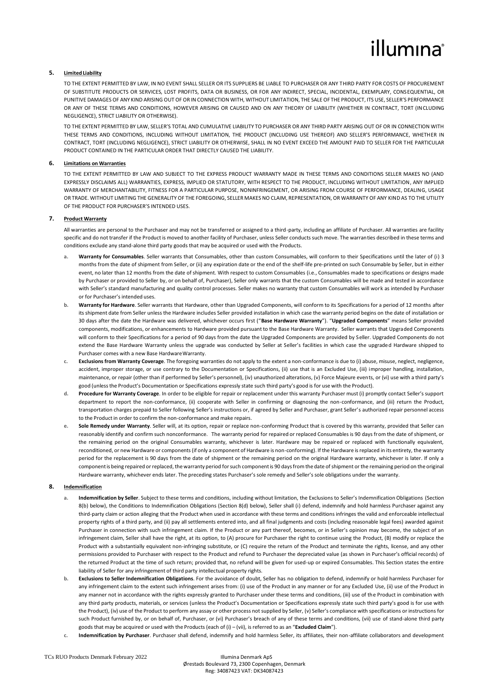# illumına

### **5. Limited Liability**

TO THE EXTENT PERMITTED BY LAW, IN NO EVENT SHALL SELLER OR ITS SUPPLIERS BE LIABLE TO PURCHASER OR ANY THIRD PARTY FOR COSTS OF PROCUREMENT OF SUBSTITUTE PRODUCTS OR SERVICES, LOST PROFITS, DATA OR BUSINESS, OR FOR ANY INDIRECT, SPECIAL, INCIDENTAL, EXEMPLARY, CONSEQUENTIAL, OR PUNITIVE DAMAGES OF ANY KIND ARISING OUT OF OR IN CONNECTION WITH, WITHOUT LIMITATION, THE SALE OF THE PRODUCT, ITS USE, SELLER'S PERFORMANCE OR ANY OF THESE TERMS AND CONDITIONS, HOWEVER ARISING OR CAUSED AND ON ANY THEORY OF LIABILITY (WHETHER IN CONTRACT, TORT (INCLUDING NEGLIGENCE), STRICT LIABILITY OR OTHERWISE).

TO THE EXTENT PERMITTED BY LAW, SELLER'S TOTAL AND CUMULATIVE LIABILITY TO PURCHASER OR ANY THIRD PARTY ARISING OUT OF OR IN CONNECTION WITH THESE TERMS AND CONDITIONS, INCLUDING WITHOUT LIMITATION, THE PRODUCT (INCLUDING USE THEREOF) AND SELLER'S PERFORMANCE, WHETHER IN CONTRACT, TORT (INCLUDING NEGLIGENCE), STRICT LIABILITY OR OTHERWISE, SHALL IN NO EVENT EXCEED THE AMOUNT PAID TO SELLER FOR THE PARTICULAR PRODUCT CONTAINED IN THE PARTICULAR ORDER THAT DIRECTLY CAUSED THE LIABILITY.

#### **6. Limitations on Warranties**

TO THE EXTENT PERMITTED BY LAW AND SUBJECT TO THE EXPRESS PRODUCT WARRANTY MADE IN THESE TERMS AND CONDITIONS SELLER MAKES NO (AND EXPRESSLY DISCLAIMS ALL) WARRANTIES, EXPRESS, IMPLIED OR STATUTORY, WITH RESPECT TO THE PRODUCT, INCLUDING WITHOUT LIMITATION, ANY IMPLIED WARRANTY OF MERCHANTABILITY, FITNESS FOR A PARTICULAR PURPOSE, NONINFRINGEMENT, OR ARISING FROM COURSE OF PERFORMANCE, DEALING, USAGE OR TRADE. WITHOUT LIMITING THE GENERALITY OF THE FOREGOING, SELLER MAKES NO CLAIM, REPRESENTATION, OR WARRANTY OF ANY KIND AS TO THE UTILITY OF THE PRODUCT FOR PURCHASER'S INTENDED USES.

#### **7. Product Warranty**

All warranties are personal to the Purchaser and may not be transferred or assigned to a third-party, including an affiliate of Purchaser. All warranties are facility specific and do not transfer if the Product is moved to another facility of Purchaser, unless Seller conducts such move. The warranties described in these terms and conditions exclude any stand-alone third party goods that may be acquired or used with the Products.

- **a. Warranty for Consumables**. Seller warrants that Consumables, other than custom Consumables, will conform to their Specifications until the later of (i) 3 months from the date of shipment from Seller, or (ii) any expiration date or the end of the shelf-life pre-printed on such Consumable by Seller, but in either event, no later than 12 months from the date of shipment. With respect to custom Consumables (i.e., Consumables made to specifications or designs made by Purchaser or provided to Seller by, or on behalf of, Purchaser), Seller only warrants that the custom Consumables will be made and tested in accordance with Seller's standard manufacturing and quality control processes. Seller makes no warranty that custom Consumables will work as intended by Purchaser or for Purchaser's intended uses.
- **b. Warranty for Hardware**. Seller warrants that Hardware, other than Upgraded Components, will conform to its Specifications for a period of 12 months after its shipment date from Seller unless the Hardware includes Seller provided installation in which case the warranty period begins on the date of installation or 30 days after the date the Hardware was delivered, whichever occurs first ("**Base Hardware Warranty**"). "**Upgraded Components**" means Seller provided components, modifications, or enhancements to Hardware provided pursuant to the Base Hardware Warranty. Seller warrants that Upgraded Components will conform to their Specifications for a period of 90 days from the date the Upgraded Components are provided by Seller. Upgraded Components do not extend the Base Hardware Warranty unless the upgrade was conducted by Seller at Seller's facilities in which case the upgraded Hardware shipped to Purchaser comes with a new Base Hardware Warranty.
- **c. Exclusions from Warranty Coverage**. The foregoing warranties do not apply to the extent a non-conformance is due to (i) abuse, misuse, neglect, negligence, accident, improper storage, or use contrary to the Documentation or Specifications, (ii) use that is an Excluded Use, (iii) improper handling, installation, maintenance, or repair (other than if performed by Seller's personnel), (iv) unauthorized alterations, (v) Force Majeure events, or (vi) use with a third party's good (unlessthe Product's Documentation or Specifications expressly state such third party's good is for use with the Product).
- **d. Procedure for Warranty Coverage**. In order to be eligible for repair or replacement under this warranty Purchaser must (i) promptly contact Seller's support department to report the non-conformance, (ii) cooperate with Seller in confirming or diagnosing the non-conformance, and (iii) return the Product, transportation charges prepaid to Seller following Seller's instructions or, if agreed by Seller and Purchaser, grant Seller's authorized repair personnel access to the Product in order to confirm the non-conformance and make repairs.
- **e. Sole Remedy under Warranty**. Seller will, at its option, repair or replace non-conforming Product that is covered by this warranty, provided that Seller can reasonably identify and confirm such nonconformance. The warranty period for repaired or replaced Consumables is 90 days from the date of shipment, or the remaining period on the original Consumables warranty, whichever is later. Hardware may be repaired or replaced with functionally equivalent, reconditioned, or new Hardware or components (if only a component of Hardware is non-conforming). If the Hardware is replaced in its entirety, the warranty period for the replacement is 90 days from the date of shipment or the remaining period on the original Hardware warranty, whichever is later. If only a componentis being repaired or replaced, the warranty period forsuch componentis 90 daysfrom the date of shipment or the remaining period on the original Hardware warranty, whichever ends later. The preceding states Purchaser's sole remedy and Seller's sole obligations under the warranty.

#### **8. Indemnification**

- **a. Indemnification by Seller**. Subject to these terms and conditions, including without limitation, the Exclusions to Seller's Indemnification Obligations (Section 8(b) below), the Conditions to Indemnification Obligations (Section 8(d) below), Seller shall (i) defend, indemnify and hold harmless Purchaser against any third-party claim or action alleging that the Product when used in accordance with these terms and conditions infringes the valid and enforceable intellectual property rights of a third party, and (ii) pay all settlements entered into, and all final judgments and costs (including reasonable legal fees) awarded against Purchaser in connection with such infringement claim. If the Product or any part thereof, becomes, or in Seller's opinion may become, the subject of an infringement claim, Seller shall have the right, at its option, to (A) procure for Purchaser the right to continue using the Product, (B) modify or replace the Product with a substantially equivalent non-infringing substitute, or (C) require the return of the Product and terminate the rights, license, and any other permissions provided to Purchaser with respect to the Product and refund to Purchaser the depreciated value (as shown in Purchaser's official records) of the returned Product at the time of such return; provided that, no refund will be given for used-up or expired Consumables. This Section states the entire liability of Seller for any infringement of third party intellectual property rights.
- **b. Exclusions to Seller Indemnification Obligations**. For the avoidance of doubt, Seller has no obligation to defend, indemnify or hold harmless Purchaser for any infringement claim to the extent such infringement arises from: (i) use of the Product in any manner or for any Excluded Use, (ii) use of the Product in any manner not in accordance with the rights expressly granted to Purchaser under these terms and conditions, (iii) use of the Product in combination with any third party products, materials, or services (unless the Product's Documentation or Specifications expressly state such third party's good is for use with the Product), (iv) use of the Product to perform any assay or other process not supplied by Seller, (v) Seller's compliance with specifications or instructions for such Product furnished by, or on behalf of, Purchaser, or (vi) Purchaser's breach of any of these terms and conditions, (vii) use of stand-alone third party goods that may be acquired or used with the Products (each of (i) – (vii), is referred to as an "**Excluded Claim**").
- **c. Indemnification by Purchaser**. Purchaser shall defend, indemnify and hold harmless Seller, its affiliates, their non-affiliate collaborators and development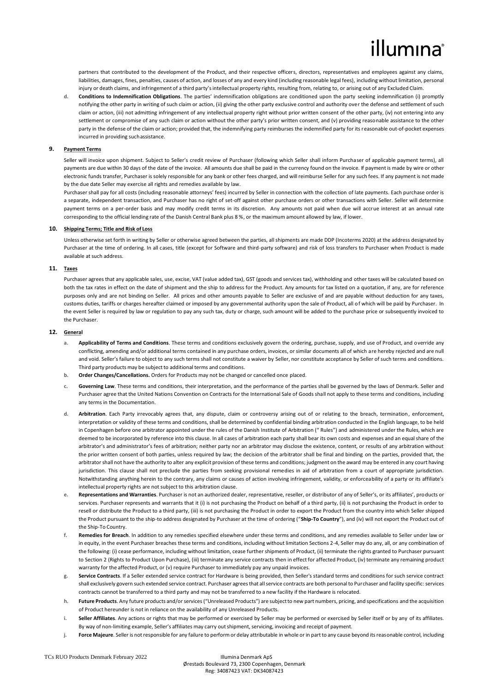# lumına

partners that contributed to the development of the Product, and their respective officers, directors, representatives and employees against any claims, liabilities, damages, fines, penalties, causes of action, and losses of any and every kind (including reasonable legal fees), including without limitation, personal injury or death claims, and infringement of a third party's intellectual property rights, resulting from, relating to, or arising out of any Excluded Claim.

**d. Conditions to Indemnification Obligations**. The parties' indemnification obligations are conditioned upon the party seeking indemnification (i) promptly notifying the other party in writing of such claim or action, (ii) giving the other party exclusive control and authority over the defense and settlement of such claim or action, (iii) not admitting infringement of any intellectual property right without prior written consent of the other party, (iv) not entering into any settlement or compromise of any such claim or action without the other party's prior written consent, and (v) providing reasonable assistance to the other party in the defense of the claim or action; provided that, the indemnifying party reimburses the indemnified party for its reasonable out-of-pocket expenses incurred in providing suchassistance.

#### **9. Payment Terms**

Seller will invoice upon shipment. Subject to Seller's credit review of Purchaser (following which Seller shall inform Purchaser of applicable payment terms), all payments are due within 30 days of the date of the invoice. All amounts due shall be paid in the currency found on the invoice. If payment is made by wire or other electronic funds transfer, Purchaser is solely responsible for any bank or other fees charged, and will reimburse Seller for any such fees. If any payment is not made by the due date Seller may exercise all rights and remedies available by law.

Purchaser shall pay for all costs (including reasonable attorneys' fees) incurred by Seller in connection with the collection of late payments. Each purchase order is a separate, independent transaction, and Purchaser has no right of set-off against other purchase orders or other transactions with Seller. Seller will determine payment terms on a per-order basis and may modify credit terms in its discretion. Any amounts not paid when due will accrue interest at an annual rate corresponding to the official lending rate of the Danish Central Bank plus 8 %, or the maximum amount allowed by law, if lower.

#### **10. Shipping Terms; Title and Risk of Loss**

Unless otherwise set forth in writing by Seller or otherwise agreed between the parties, all shipments are made DDP (Incoterms 2020) at the address designated by Purchaser at the time of ordering. In all cases, title (except for Software and third-party software) and risk of loss transfers to Purchaser when Product is made available at such address.

### **11. Taxes**

Purchaser agrees that any applicable sales, use, excise, VAT (value added tax), GST (goods and services tax), withholding and other taxes will be calculated based on both the tax rates in effect on the date of shipment and the ship to address for the Product. Any amounts for tax listed on a quotation, if any, are for reference purposes only and are not binding on Seller. All prices and other amounts payable to Seller are exclusive of and are payable without deduction for any taxes, customs duties, tariffs or charges hereafter claimed or imposed by any governmental authority upon the sale of Product, all of which will be paid by Purchaser. In the event Seller is required by law or regulation to pay any such tax, duty or charge, such amount will be added to the purchase price or subsequently invoiced to the Purchaser.

### **12. General**

- **a. Applicability of Terms and Conditions**. These terms and conditions exclusively govern the ordering, purchase, supply, and use of Product, and override any conflicting, amending and/or additional terms contained in any purchase orders, invoices, or similar documents all of which are hereby rejected and are null and void. Seller's failure to object to any such terms shall not constitute a waiver by Seller, nor constitute acceptance by Seller of such terms and conditions. Third party products may be subject to additional terms and conditions.
- **b. Order Changes/Cancellations.** Orders for Products may not be changed or cancelled once placed.
- **c. Governing Law**. These terms and conditions, their interpretation, and the performance of the parties shall be governed by the laws of Denmark. Seller and Purchaser agree that the United Nations Convention on Contracts for the International Sale of Goods shall not apply to these terms and conditions, including any terms in the Documentation.
- **d. Arbitration**. Each Party irrevocably agrees that, any dispute, claim or controversy arising out of or relating to the breach, termination, enforcement, interpretation or validity of these terms and conditions, shall be determined by confidential binding arbitration conducted in the English language, to be held in Copenhagen before one arbitrator appointed under the rules of the Danish Institute of Arbitration (" Rules") and administered under the Rules, which are deemed to be incorporated by reference into this clause. In all cases of arbitration each party shall bear its own costs and expenses and an equal share of the arbitrator's and administrator's fees of arbitration; neither party nor an arbitrator may disclose the existence, content, or results of any arbitration without the prior written consent of both parties, unless required by law; the decision of the arbitrator shall be final and binding on the parties, provided that, the arbitrator shall not have the authority to alter any explicit provision of these terms and conditions; judgment on the award may be entered in any court having jurisdiction. This clause shall not preclude the parties from seeking provisional remedies in aid of arbitration from a court of appropriate jurisdiction. Notwithstanding anything herein to the contrary, any claims or causes of action involving infringement, validity, or enforceability of a party or its affiliate's intellectual property rights are not subject to this arbitration clause.
- **e. Representations and Warranties**. Purchaser is not an authorized dealer, representative, reseller, or distributor of any of Seller's, or its affiliates', products or services. Purchaser represents and warrants that it (i) is not purchasing the Product on behalf of a third party, (ii) is not purchasing the Product in order to resell or distribute the Product to a third party, (iii) is not purchasing the Product in order to export the Product from the country into which Seller shipped the Product pursuant to the ship-to address designated by Purchaser at the time of ordering ("**Ship-To Country**"), and (iv) will not export the Product out of the Ship-To Country.
- **f. Remedies for Breach**. In addition to any remedies specified elsewhere under these terms and conditions, and any remedies available to Seller under law or in equity, in the event Purchaser breaches these terms and conditions, including without limitation Sections 2-4, Seller may do any, all, or any combination of the following: (i) cease performance, including without limitation, cease further shipments of Product, (ii) terminate the rights granted to Purchaser pursuant to Section 2 (Rights to Product Upon Purchase), (iii) terminate any service contracts then in effect for affected Product, (iv) terminate any remaining product warranty for the affected Product, or (v) require Purchaser to immediately pay any unpaid invoices.
- Service Contracts. If a Seller extended service contract for Hardware is being provided, then Seller's standard terms and conditions for such service contract shall exclusively govern such extended service contract. Purchaser agrees that all service contracts are both personal to Purchaser and facility specific: services contracts cannot be transferred to a third party and may not be transferred to a new facility if the Hardware is relocated.
- **h. Future Products**. Any future products and/or services ("Unreleased Products") are subject to new part numbers, pricing, and specifications and the acquisition of Product hereunder is not in reliance on the availability of any Unreleased Products.
- **i. Seller Affiliates**. Any actions or rights that may be performed or exercised by Seller may be performed or exercised by Seller itself or by any of its affiliates. By way of non-limiting example, Seller's affiliates may carry outshipment, servicing, invoicing and receipt of payment.
- **j. Force Majeure**. Seller is not responsible for any failure to perform or delay attributable in whole or in part to any cause beyond its reasonable control, including